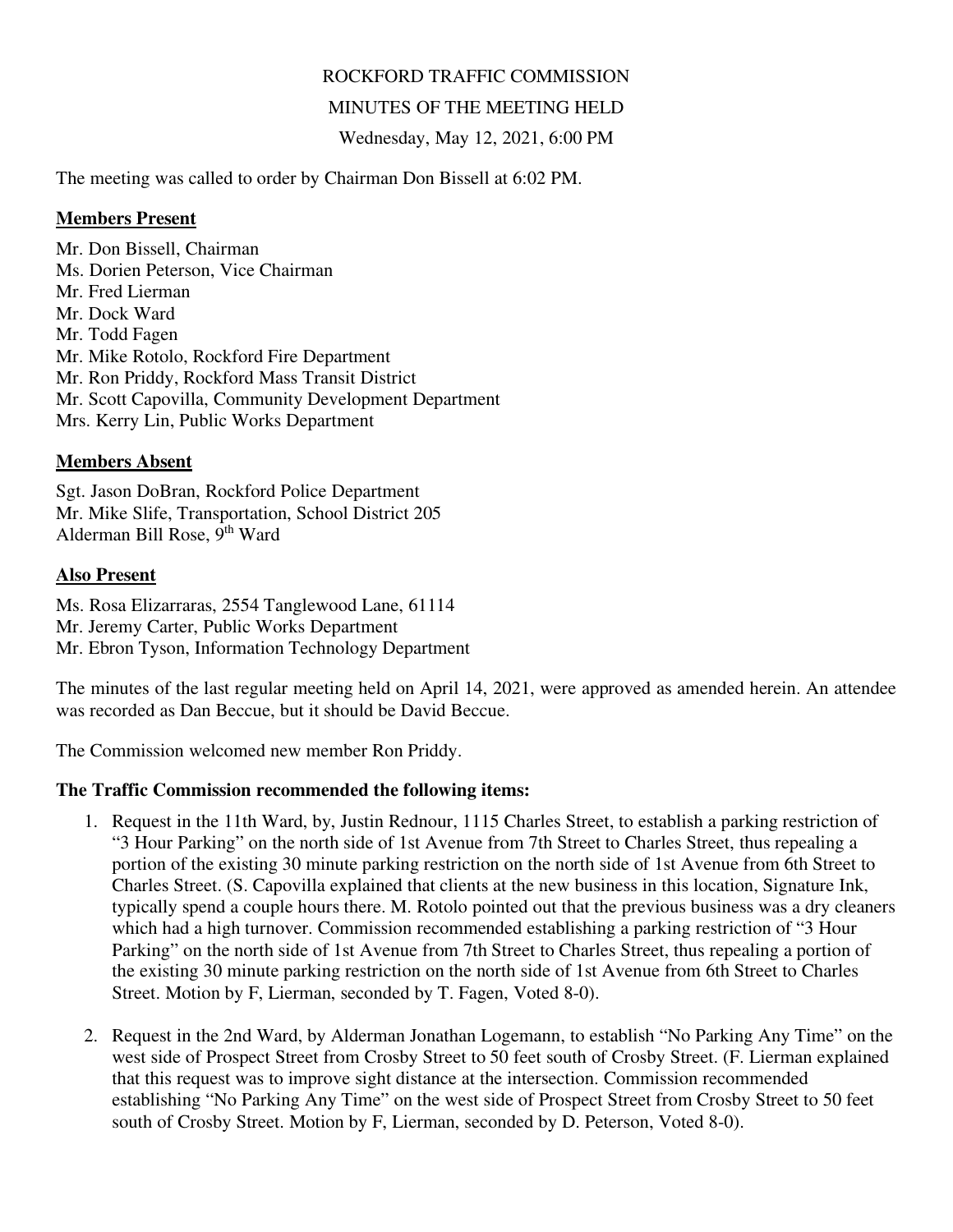# ROCKFORD TRAFFIC COMMISSION

## MINUTES OF THE MEETING HELD

Wednesday, May 12, 2021, 6:00 PM

The meeting was called to order by Chairman Don Bissell at 6:02 PM.

#### **Members Present**

Mr. Don Bissell, Chairman Ms. Dorien Peterson, Vice Chairman Mr. Fred Lierman Mr. Dock Ward Mr. Todd Fagen Mr. Mike Rotolo, Rockford Fire Department Mr. Ron Priddy, Rockford Mass Transit District Mr. Scott Capovilla, Community Development Department Mrs. Kerry Lin, Public Works Department

## **Members Absent**

Sgt. Jason DoBran, Rockford Police Department Mr. Mike Slife, Transportation, School District 205 Alderman Bill Rose, 9th Ward

#### **Also Present**

Ms. Rosa Elizarraras, 2554 Tanglewood Lane, 61114 Mr. Jeremy Carter, Public Works Department Mr. Ebron Tyson, Information Technology Department

The minutes of the last regular meeting held on April 14, 2021, were approved as amended herein. An attendee was recorded as Dan Beccue, but it should be David Beccue.

The Commission welcomed new member Ron Priddy.

## **The Traffic Commission recommended the following items:**

- 1. Request in the 11th Ward, by, Justin Rednour, 1115 Charles Street, to establish a parking restriction of "3 Hour Parking" on the north side of 1st Avenue from 7th Street to Charles Street, thus repealing a portion of the existing 30 minute parking restriction on the north side of 1st Avenue from 6th Street to Charles Street. (S. Capovilla explained that clients at the new business in this location, Signature Ink, typically spend a couple hours there. M. Rotolo pointed out that the previous business was a dry cleaners which had a high turnover. Commission recommended establishing a parking restriction of "3 Hour Parking" on the north side of 1st Avenue from 7th Street to Charles Street, thus repealing a portion of the existing 30 minute parking restriction on the north side of 1st Avenue from 6th Street to Charles Street. Motion by F, Lierman, seconded by T. Fagen, Voted 8-0).
- 2. Request in the 2nd Ward, by Alderman Jonathan Logemann, to establish "No Parking Any Time" on the west side of Prospect Street from Crosby Street to 50 feet south of Crosby Street. (F. Lierman explained that this request was to improve sight distance at the intersection. Commission recommended establishing "No Parking Any Time" on the west side of Prospect Street from Crosby Street to 50 feet south of Crosby Street. Motion by F, Lierman, seconded by D. Peterson, Voted 8-0).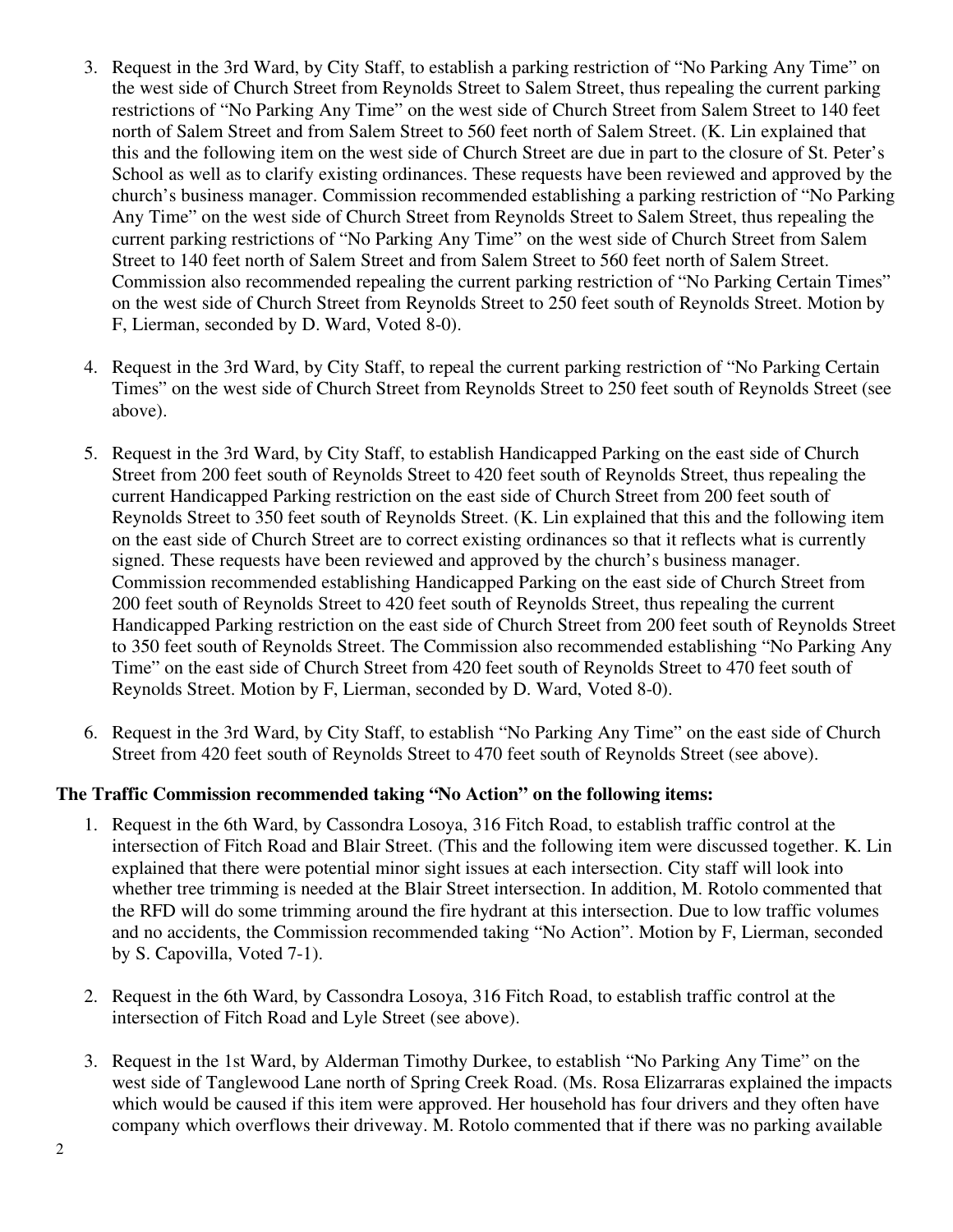- 3. Request in the 3rd Ward, by City Staff, to establish a parking restriction of "No Parking Any Time" on the west side of Church Street from Reynolds Street to Salem Street, thus repealing the current parking restrictions of "No Parking Any Time" on the west side of Church Street from Salem Street to 140 feet north of Salem Street and from Salem Street to 560 feet north of Salem Street. (K. Lin explained that this and the following item on the west side of Church Street are due in part to the closure of St. Peter's School as well as to clarify existing ordinances. These requests have been reviewed and approved by the church's business manager. Commission recommended establishing a parking restriction of "No Parking Any Time" on the west side of Church Street from Reynolds Street to Salem Street, thus repealing the current parking restrictions of "No Parking Any Time" on the west side of Church Street from Salem Street to 140 feet north of Salem Street and from Salem Street to 560 feet north of Salem Street. Commission also recommended repealing the current parking restriction of "No Parking Certain Times" on the west side of Church Street from Reynolds Street to 250 feet south of Reynolds Street. Motion by F, Lierman, seconded by D. Ward, Voted 8-0).
- 4. Request in the 3rd Ward, by City Staff, to repeal the current parking restriction of "No Parking Certain Times" on the west side of Church Street from Reynolds Street to 250 feet south of Reynolds Street (see above).
- 5. Request in the 3rd Ward, by City Staff, to establish Handicapped Parking on the east side of Church Street from 200 feet south of Reynolds Street to 420 feet south of Reynolds Street, thus repealing the current Handicapped Parking restriction on the east side of Church Street from 200 feet south of Reynolds Street to 350 feet south of Reynolds Street. (K. Lin explained that this and the following item on the east side of Church Street are to correct existing ordinances so that it reflects what is currently signed. These requests have been reviewed and approved by the church's business manager. Commission recommended establishing Handicapped Parking on the east side of Church Street from 200 feet south of Reynolds Street to 420 feet south of Reynolds Street, thus repealing the current Handicapped Parking restriction on the east side of Church Street from 200 feet south of Reynolds Street to 350 feet south of Reynolds Street. The Commission also recommended establishing "No Parking Any Time" on the east side of Church Street from 420 feet south of Reynolds Street to 470 feet south of Reynolds Street. Motion by F, Lierman, seconded by D. Ward, Voted 8-0).
- 6. Request in the 3rd Ward, by City Staff, to establish "No Parking Any Time" on the east side of Church Street from 420 feet south of Reynolds Street to 470 feet south of Reynolds Street (see above).

## **The Traffic Commission recommended taking "No Action" on the following items:**

- 1. Request in the 6th Ward, by Cassondra Losoya, 316 Fitch Road, to establish traffic control at the intersection of Fitch Road and Blair Street. (This and the following item were discussed together. K. Lin explained that there were potential minor sight issues at each intersection. City staff will look into whether tree trimming is needed at the Blair Street intersection. In addition, M. Rotolo commented that the RFD will do some trimming around the fire hydrant at this intersection. Due to low traffic volumes and no accidents, the Commission recommended taking "No Action". Motion by F, Lierman, seconded by S. Capovilla, Voted 7-1).
- 2. Request in the 6th Ward, by Cassondra Losoya, 316 Fitch Road, to establish traffic control at the intersection of Fitch Road and Lyle Street (see above).
- 3. Request in the 1st Ward, by Alderman Timothy Durkee, to establish "No Parking Any Time" on the west side of Tanglewood Lane north of Spring Creek Road. (Ms. Rosa Elizarraras explained the impacts which would be caused if this item were approved. Her household has four drivers and they often have company which overflows their driveway. M. Rotolo commented that if there was no parking available